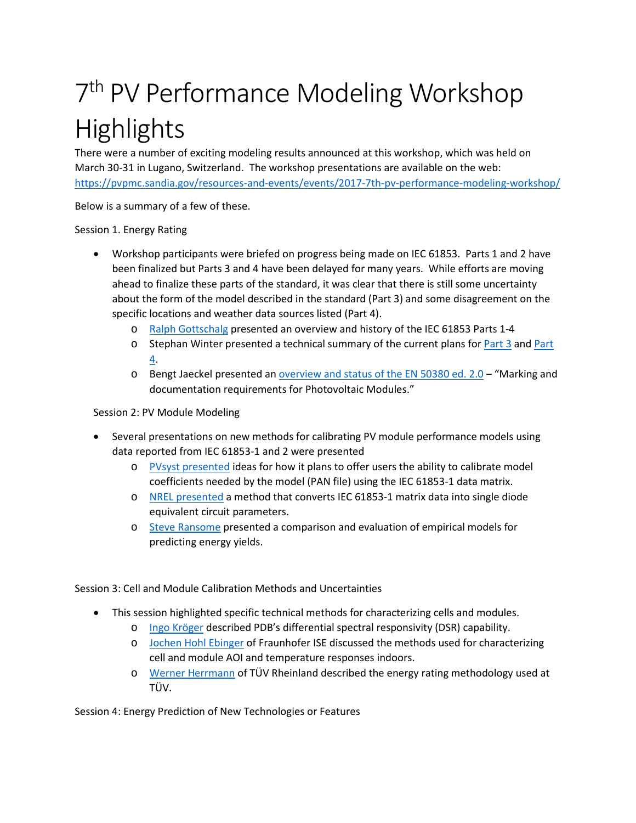## 7<sup>th</sup> PV Performance Modeling Workshop Highlights

There were a number of exciting modeling results announced at this workshop, which was held on March 30-31 in Lugano, Switzerland. The workshop presentations are available on the web: <https://pvpmc.sandia.gov/resources-and-events/events/2017-7th-pv-performance-modeling-workshop/>

Below is a summary of a few of these.

Session 1. Energy Rating

- Workshop participants were briefed on progress being made on IEC 61853. Parts 1 and 2 have been finalized but Parts 3 and 4 have been delayed for many years. While efforts are moving ahead to finalize these parts of the standard, it was clear that there is still some uncertainty about the form of the model described in the standard (Part 3) and some disagreement on the specific locations and weather data sources listed (Part 4).
	- o [Ralph Gottschalg](https://www.slideshare.net/sandiaecis/05-2017-03ralphgottschalgstandardsbodyperspective-74980890) presented an overview and history of the IEC 61853 Parts 1-4
	- o Stephan Winter presented a technical summary of the current plans for [Part](https://www.slideshare.net/sandiaecis/07-huld-presentation618533th) 3 and [Part](https://www.slideshare.net/sandiaecis/09-huld-presentation618534a-74896546) [4.](https://www.slideshare.net/sandiaecis/09-huld-presentation618534a-74896546)
	- o Bengt Jaeckel presented a[n overview and status of the EN 50380 ed. 2.0](https://www.slideshare.net/sandiaecis/06-en50380-20170329) "Marking and documentation requirements for Photovoltaic Modules."

Session 2: PV Module Modeling

- Several presentations on new methods for calibrating PV module performance models using data reported from IEC 61853-1 and 2 were presented
	- o [PVsyst presented](https://www.slideshare.net/sandiaecis/12-wittmer-pvsystpvpmc7-74389345) ideas for how it plans to offer users the ability to calibrate model coefficients needed by the model (PAN file) using the IEC 61853-1 data matrix.
	- o [NREL presented](https://www.slideshare.net/sandiaecis/13-20170330-freeman-7th-pvpmc-iec-61853-presentation) a method that converts IEC 61853-1 matrix data into single diode equivalent circuit parameters.
	- o [Steve Ransome](https://www.slideshare.net/sandiaecis/15-2017-pvpmc7ransome170330t081corrected2-74980695) presented a comparison and evaluation of empirical models for predicting energy yields.

Session 3: Cell and Module Calibration Methods and Uncertainties

- This session highlighted specific technical methods for characterizing cells and modules.
	- o [Ingo Kröger](https://www.slideshare.net/sandiaecis/19-krger) described PDB's differential spectral responsivity (DSR) capability.
	- o [Jochen Hohl Ebinger](https://www.slideshare.net/sandiaecis/21-supsi-workshopindoorparav31-74546940) of Fraunhofer ISE discussed the methods used for characterizing cell and module AOI and temperature responses indoors.
	- o [Werner Herrmann](https://www.slideshare.net/sandiaecis/22-2017-7thpvpmherrmannfinal) of TÜV Rheinland described the energy rating methodology used at TÜV.

Session 4: Energy Prediction of New Technologies or Features